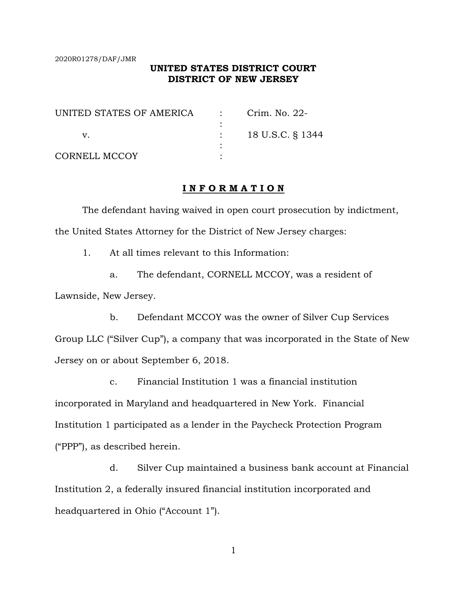2020R01278/DAF/JMR

## **UNITED STATES DISTRICT COURT DISTRICT OF NEW JERSEY**

| UNITED STATES OF AMERICA | $\mathcal{L}_{\text{max}}$ , and $\mathcal{L}_{\text{max}}$ | Crim. No. 22-    |
|--------------------------|-------------------------------------------------------------|------------------|
|                          |                                                             |                  |
|                          |                                                             | 18 U.S.C. § 1344 |
|                          |                                                             |                  |
| CORNELL MCCOY            |                                                             |                  |

## **I N F O R M A T I O N**

 The defendant having waived in open court prosecution by indictment, the United States Attorney for the District of New Jersey charges:

1. At all times relevant to this Information:

a. The defendant, CORNELL MCCOY, was a resident of Lawnside, New Jersey.

b. Defendant MCCOY was the owner of Silver Cup Services Group LLC ("Silver Cup"), a company that was incorporated in the State of New Jersey on or about September 6, 2018.

c. Financial Institution 1 was a financial institution incorporated in Maryland and headquartered in New York. Financial Institution 1 participated as a lender in the Paycheck Protection Program ("PPP"), as described herein.

d. Silver Cup maintained a business bank account at Financial Institution 2, a federally insured financial institution incorporated and headquartered in Ohio ("Account 1").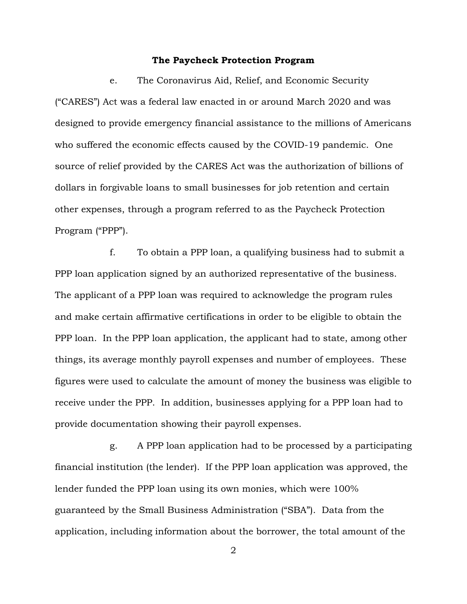#### **The Paycheck Protection Program**

e. The Coronavirus Aid, Relief, and Economic Security ("CARES") Act was a federal law enacted in or around March 2020 and was designed to provide emergency financial assistance to the millions of Americans who suffered the economic effects caused by the COVID-19 pandemic. One source of relief provided by the CARES Act was the authorization of billions of dollars in forgivable loans to small businesses for job retention and certain other expenses, through a program referred to as the Paycheck Protection Program ("PPP").

f. To obtain a PPP loan, a qualifying business had to submit a PPP loan application signed by an authorized representative of the business. The applicant of a PPP loan was required to acknowledge the program rules and make certain affirmative certifications in order to be eligible to obtain the PPP loan. In the PPP loan application, the applicant had to state, among other things, its average monthly payroll expenses and number of employees. These figures were used to calculate the amount of money the business was eligible to receive under the PPP. In addition, businesses applying for a PPP loan had to provide documentation showing their payroll expenses.

g. A PPP loan application had to be processed by a participating financial institution (the lender). If the PPP loan application was approved, the lender funded the PPP loan using its own monies, which were 100% guaranteed by the Small Business Administration ("SBA"). Data from the application, including information about the borrower, the total amount of the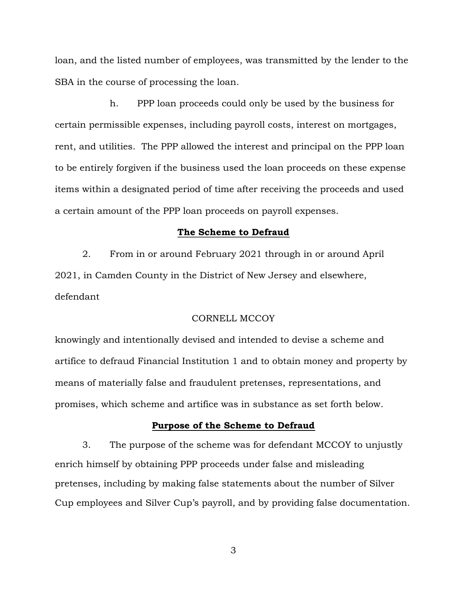loan, and the listed number of employees, was transmitted by the lender to the SBA in the course of processing the loan.

h. PPP loan proceeds could only be used by the business for certain permissible expenses, including payroll costs, interest on mortgages, rent, and utilities. The PPP allowed the interest and principal on the PPP loan to be entirely forgiven if the business used the loan proceeds on these expense items within a designated period of time after receiving the proceeds and used a certain amount of the PPP loan proceeds on payroll expenses.

#### **The Scheme to Defraud**

2. From in or around February 2021 through in or around April 2021, in Camden County in the District of New Jersey and elsewhere, defendant

## CORNELL MCCOY

knowingly and intentionally devised and intended to devise a scheme and artifice to defraud Financial Institution 1 and to obtain money and property by means of materially false and fraudulent pretenses, representations, and promises, which scheme and artifice was in substance as set forth below.

#### **Purpose of the Scheme to Defraud**

3. The purpose of the scheme was for defendant MCCOY to unjustly enrich himself by obtaining PPP proceeds under false and misleading pretenses, including by making false statements about the number of Silver Cup employees and Silver Cup's payroll, and by providing false documentation.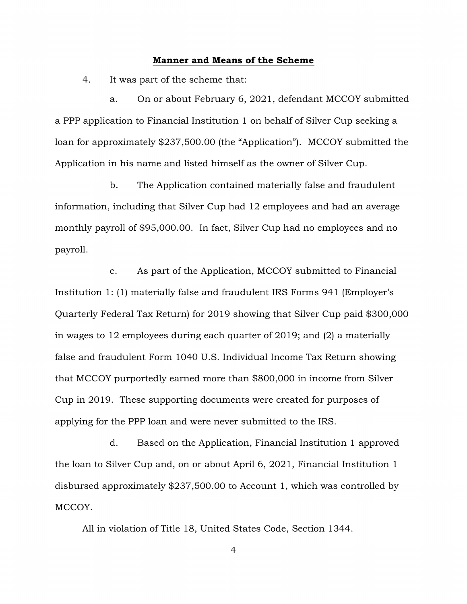#### **Manner and Means of the Scheme**

4. It was part of the scheme that:

a. On or about February 6, 2021, defendant MCCOY submitted a PPP application to Financial Institution 1 on behalf of Silver Cup seeking a loan for approximately \$237,500.00 (the "Application"). MCCOY submitted the Application in his name and listed himself as the owner of Silver Cup.

b. The Application contained materially false and fraudulent information, including that Silver Cup had 12 employees and had an average monthly payroll of \$95,000.00. In fact, Silver Cup had no employees and no payroll.

c. As part of the Application, MCCOY submitted to Financial Institution 1: (1) materially false and fraudulent IRS Forms 941 (Employer's Quarterly Federal Tax Return) for 2019 showing that Silver Cup paid \$300,000 in wages to 12 employees during each quarter of 2019; and (2) a materially false and fraudulent Form 1040 U.S. Individual Income Tax Return showing that MCCOY purportedly earned more than \$800,000 in income from Silver Cup in 2019. These supporting documents were created for purposes of applying for the PPP loan and were never submitted to the IRS.

d. Based on the Application, Financial Institution 1 approved the loan to Silver Cup and, on or about April 6, 2021, Financial Institution 1 disbursed approximately \$237,500.00 to Account 1, which was controlled by MCCOY.

All in violation of Title 18, United States Code, Section 1344.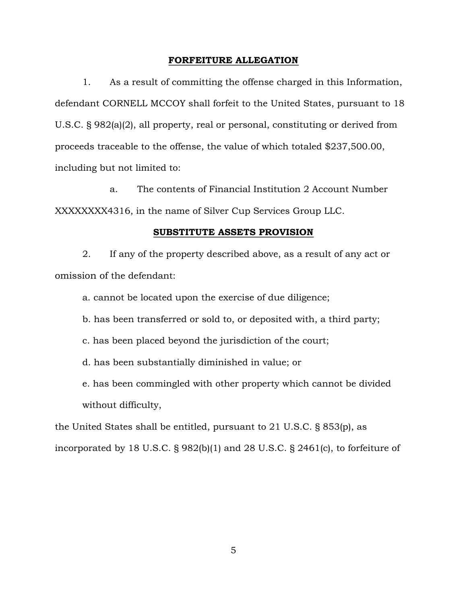#### **FORFEITURE ALLEGATION**

1. As a result of committing the offense charged in this Information, defendant CORNELL MCCOY shall forfeit to the United States, pursuant to 18 U.S.C. § 982(a)(2), all property, real or personal, constituting or derived from proceeds traceable to the offense, the value of which totaled \$237,500.00, including but not limited to:

a. The contents of Financial Institution 2 Account Number XXXXXXXX4316, in the name of Silver Cup Services Group LLC.

#### **SUBSTITUTE ASSETS PROVISION**

2. If any of the property described above, as a result of any act or omission of the defendant:

a. cannot be located upon the exercise of due diligence;

b. has been transferred or sold to, or deposited with, a third party;

c. has been placed beyond the jurisdiction of the court;

d. has been substantially diminished in value; or

e. has been commingled with other property which cannot be divided without difficulty,

the United States shall be entitled, pursuant to 21 U.S.C. § 853(p), as

incorporated by 18 U.S.C. § 982(b)(1) and 28 U.S.C. § 2461(c), to forfeiture of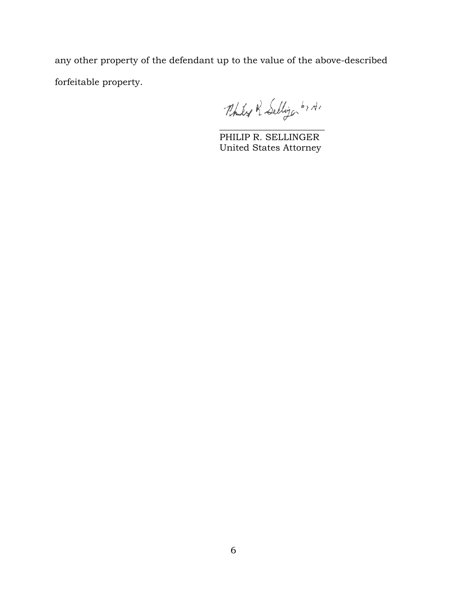any other property of the defendant up to the value of the above-described forfeitable property.

 $\mathcal{L}_\text{max}$  , which is a set of the set of the set of the set of the set of the set of the set of the set of the set of the set of the set of the set of the set of the set of the set of the set of the set of the set of

 PHILIP R. SELLINGER United States Attorney